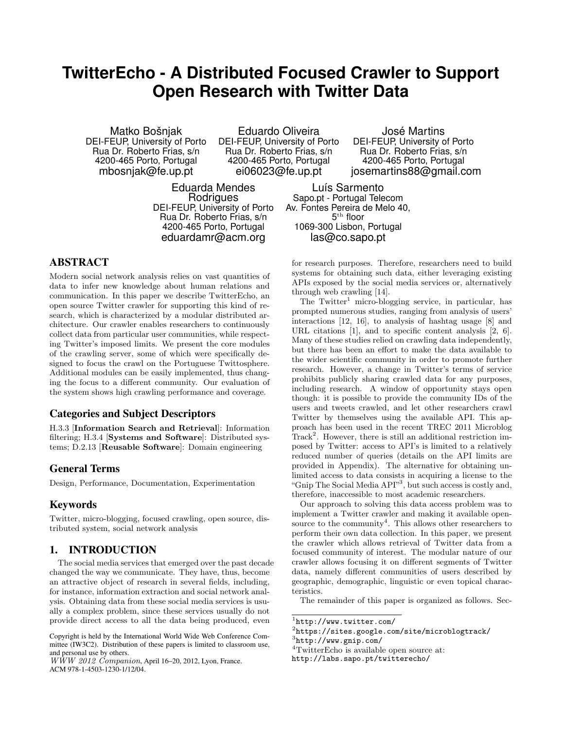# **TwitterEcho - A Distributed Focused Crawler to Support Open Research with Twitter Data**

Matko Bošnjak DEI-FEUP, University of Porto Rua Dr. Roberto Frias, s/n 4200-465 Porto, Portugal mbosnjak@fe.up.pt

Eduardo Oliveira DEI-FEUP, University of Porto Rua Dr. Roberto Frias, s/n 4200-465 Porto, Portugal ei06023@fe.up.pt

José Martins DEI-FEUP, University of Porto Rua Dr. Roberto Frias, s/n 4200-465 Porto, Portugal josemartins88@gmail.com

Eduarda Mendes Rodrigues DEI-FEUP, University of Porto Rua Dr. Roberto Frias, s/n 4200-465 Porto, Portugal eduardamr@acm.org

Luís Sarmento Sapo.pt - Portugal Telecom Av. Fontes Pereira de Melo 40,  $5^{\rm th}$  floor 1069-300 Lisbon, Portugal las@co.sapo.pt

## ABSTRACT

Modern social network analysis relies on vast quantities of data to infer new knowledge about human relations and communication. In this paper we describe TwitterEcho, an open source Twitter crawler for supporting this kind of research, which is characterized by a modular distributed architecture. Our crawler enables researchers to continuously collect data from particular user communities, while respecting Twitter's imposed limits. We present the core modules of the crawling server, some of which were specifically designed to focus the crawl on the Portuguese Twittosphere. Additional modules can be easily implemented, thus changing the focus to a different community. Our evaluation of the system shows high crawling performance and coverage.

# Categories and Subject Descriptors

H.3.3 [Information Search and Retrieval]: Information filtering; H.3.4 [Systems and Software]: Distributed systems; D.2.13 [Reusable Software]: Domain engineering

#### General Terms

Design, Performance, Documentation, Experimentation

#### Keywords

Twitter, micro-blogging, focused crawling, open source, distributed system, social network analysis

## 1. INTRODUCTION

The social media services that emerged over the past decade changed the way we communicate. They have, thus, become an attractive object of research in several fields, including, for instance, information extraction and social network analysis. Obtaining data from these social media services is usually a complex problem, since these services usually do not provide direct access to all the data being produced, even

WWW 2012 Companion, April 16–20, 2012, Lyon, France. ACM 978-1-4503-1230-1/12/04.

for research purposes. Therefore, researchers need to build systems for obtaining such data, either leveraging existing APIs exposed by the social media services or, alternatively through web crawling [14].

The Twitter<sup>1</sup> micro-blogging service, in particular, has prompted numerous studies, ranging from analysis of users' interactions [12, 16], to analysis of hashtag usage [8] and URL citations [1], and to specific content analysis [2, 6]. Many of these studies relied on crawling data independently, but there has been an effort to make the data available to the wider scientific community in order to promote further research. However, a change in Twitter's terms of service prohibits publicly sharing crawled data for any purposes, including research. A window of opportunity stays open though: it is possible to provide the community IDs of the users and tweets crawled, and let other researchers crawl Twitter by themselves using the available API. This approach has been used in the recent TREC 2011 Microblog  $\text{Track}^2$ . However, there is still an additional restriction imposed by Twitter: access to API's is limited to a relatively reduced number of queries (details on the API limits are provided in Appendix). The alternative for obtaining unlimited access to data consists in acquiring a license to the "Gnip The Social Media API"<sup>3</sup>, but such access is costly and, therefore, inaccessible to most academic researchers.

Our approach to solving this data access problem was to implement a Twitter crawler and making it available opensource to the community<sup>4</sup>. This allows other researchers to perform their own data collection. In this paper, we present the crawler which allows retrieval of Twitter data from a focused community of interest. The modular nature of our crawler allows focusing it on different segments of Twitter data, namely different communities of users described by geographic, demographic, linguistic or even topical characteristics.

The remainder of this paper is organized as follows. Sec-

Copyright is held by the International World Wide Web Conference Committee (IW3C2). Distribution of these papers is limited to classroom use, and personal use by others.

<sup>1</sup> http://www.twitter.com/

 $^{2}$ https://sites.google.com/site/microblogtrack/ 3 http://www.gnip.com/

<sup>4</sup>TwitterEcho is available open source at:

http://labs.sapo.pt/twitterecho/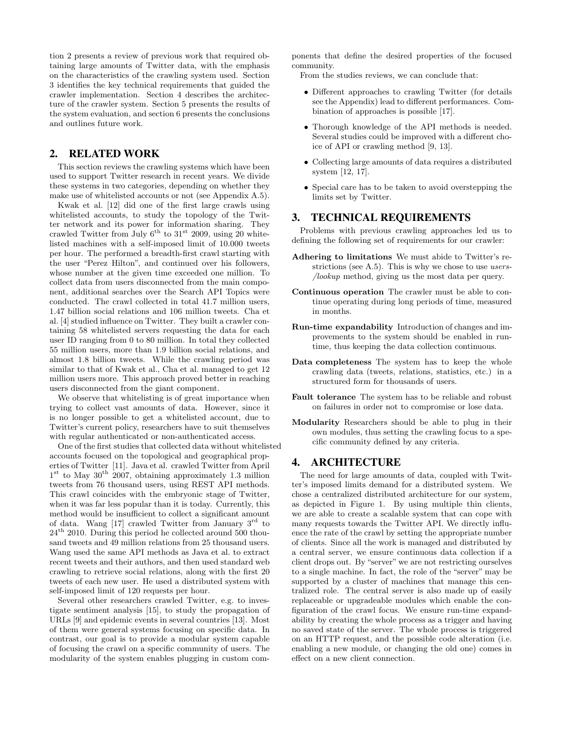tion 2 presents a review of previous work that required obtaining large amounts of Twitter data, with the emphasis on the characteristics of the crawling system used. Section 3 identifies the key technical requirements that guided the crawler implementation. Section 4 describes the architecture of the crawler system. Section 5 presents the results of the system evaluation, and section 6 presents the conclusions and outlines future work.

# 2. RELATED WORK

This section reviews the crawling systems which have been used to support Twitter research in recent years. We divide these systems in two categories, depending on whether they make use of whitelisted accounts or not (see Appendix A.5).

Kwak et al. [12] did one of the first large crawls using whitelisted accounts, to study the topology of the Twitter network and its power for information sharing. They crawled Twitter from July  $6^{th}$  to  $31^{st}$  2009, using 20 whitelisted machines with a self-imposed limit of 10.000 tweets per hour. The performed a breadth-first crawl starting with the user "Perez Hilton", and continued over his followers, whose number at the given time exceeded one million. To collect data from users disconnected from the main component, additional searches over the Search API Topics were conducted. The crawl collected in total 41.7 million users, 1.47 billion social relations and 106 million tweets. Cha et al. [4] studied influence on Twitter. They built a crawler containing 58 whitelisted servers requesting the data for each user ID ranging from 0 to 80 million. In total they collected 55 million users, more than 1.9 billion social relations, and almost 1.8 billion tweets. While the crawling period was similar to that of Kwak et al., Cha et al. managed to get 12 million users more. This approach proved better in reaching users disconnected from the giant component.

We observe that whitelisting is of great importance when trying to collect vast amounts of data. However, since it is no longer possible to get a whitelisted account, due to Twitter's current policy, researchers have to suit themselves with regular authenticated or non-authenticated access.

One of the first studies that collected data without whitelisted accounts focused on the topological and geographical properties of Twitter [11]. Java et al. crawled Twitter from April 1<sup>st</sup> to May 30<sup>th</sup> 2007, obtaining approximately 1.3 million tweets from 76 thousand users, using REST API methods. This crawl coincides with the embryonic stage of Twitter, when it was far less popular than it is today. Currently, this method would be insufficient to collect a significant amount of data. Wang  $[17]$  crawled Twitter from January  $3<sup>rd</sup>$  to  $24<sup>th</sup>$  2010. During this period he collected around 500 thousand tweets and 49 million relations from 25 thousand users. Wang used the same API methods as Java et al. to extract recent tweets and their authors, and then used standard web crawling to retrieve social relations, along with the first 20 tweets of each new user. He used a distributed system with self-imposed limit of 120 requests per hour.

Several other researchers crawled Twitter, e.g. to investigate sentiment analysis [15], to study the propagation of URLs [9] and epidemic events in several countries [13]. Most of them were general systems focusing on specific data. In contrast, our goal is to provide a modular system capable of focusing the crawl on a specific community of users. The modularity of the system enables plugging in custom components that define the desired properties of the focused community.

From the studies reviews, we can conclude that:

- Different approaches to crawling Twitter (for details see the Appendix) lead to different performances. Combination of approaches is possible [17].
- Thorough knowledge of the API methods is needed. Several studies could be improved with a different choice of API or crawling method [9, 13].
- Collecting large amounts of data requires a distributed system [12, 17].
- Special care has to be taken to avoid overstepping the limits set by Twitter.

# 3. TECHNICAL REQUIREMENTS

Problems with previous crawling approaches led us to defining the following set of requirements for our crawler:

- Adhering to limitations We must abide to Twitter's restrictions (see A.5). This is why we chose to use *users*-/lookup method, giving us the most data per query.
- Continuous operation The crawler must be able to continue operating during long periods of time, measured in months.
- Run-time expandability Introduction of changes and improvements to the system should be enabled in runtime, thus keeping the data collection continuous.
- Data completeness The system has to keep the whole crawling data (tweets, relations, statistics, etc.) in a structured form for thousands of users.
- Fault tolerance The system has to be reliable and robust on failures in order not to compromise or lose data.
- Modularity Researchers should be able to plug in their own modules, thus setting the crawling focus to a specific community defined by any criteria.

## 4. ARCHITECTURE

The need for large amounts of data, coupled with Twitter's imposed limits demand for a distributed system. We chose a centralized distributed architecture for our system, as depicted in Figure 1. By using multiple thin clients, we are able to create a scalable system that can cope with many requests towards the Twitter API. We directly influence the rate of the crawl by setting the appropriate number of clients. Since all the work is managed and distributed by a central server, we ensure continuous data collection if a client drops out. By "server" we are not restricting ourselves to a single machine. In fact, the role of the "server" may be supported by a cluster of machines that manage this centralized role. The central server is also made up of easily replaceable or upgradeable modules which enable the configuration of the crawl focus. We ensure run-time expandability by creating the whole process as a trigger and having no saved state of the server. The whole process is triggered on an HTTP request, and the possible code alteration (i.e. enabling a new module, or changing the old one) comes in effect on a new client connection.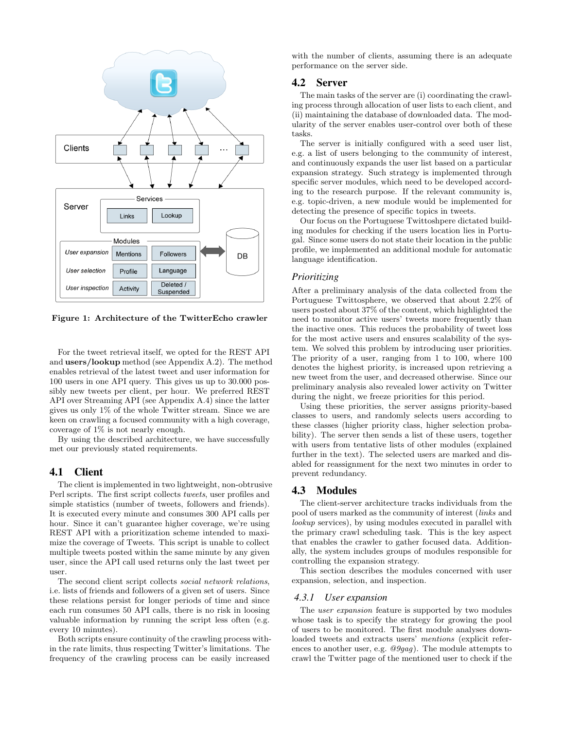

Figure 1: Architecture of the TwitterEcho crawler

For the tweet retrieval itself, we opted for the REST API and users/lookup method (see Appendix A.2). The method enables retrieval of the latest tweet and user information for 100 users in one API query. This gives us up to 30.000 possibly new tweets per client, per hour. We preferred REST API over Streaming API (see Appendix A.4) since the latter gives us only 1% of the whole Twitter stream. Since we are keen on crawling a focused community with a high coverage, coverage of 1% is not nearly enough.

By using the described architecture, we have successfully met our previously stated requirements.

## 4.1 Client

The client is implemented in two lightweight, non-obtrusive Perl scripts. The first script collects tweets, user profiles and simple statistics (number of tweets, followers and friends). It is executed every minute and consumes 300 API calls per hour. Since it can't guarantee higher coverage, we're using REST API with a prioritization scheme intended to maximize the coverage of Tweets. This script is unable to collect multiple tweets posted within the same minute by any given user, since the API call used returns only the last tweet per user.

The second client script collects social network relations, i.e. lists of friends and followers of a given set of users. Since these relations persist for longer periods of time and since each run consumes 50 API calls, there is no risk in loosing valuable information by running the script less often (e.g. every 10 minutes).

Both scripts ensure continuity of the crawling process within the rate limits, thus respecting Twitter's limitations. The frequency of the crawling process can be easily increased

with the number of clients, assuming there is an adequate performance on the server side.

#### 4.2 Server

The main tasks of the server are (i) coordinating the crawling process through allocation of user lists to each client, and (ii) maintaining the database of downloaded data. The modularity of the server enables user-control over both of these tasks.

The server is initially configured with a seed user list, e.g. a list of users belonging to the community of interest, and continuously expands the user list based on a particular expansion strategy. Such strategy is implemented through specific server modules, which need to be developed according to the research purpose. If the relevant community is, e.g. topic-driven, a new module would be implemented for detecting the presence of specific topics in tweets.

Our focus on the Portuguese Twittoshpere dictated building modules for checking if the users location lies in Portugal. Since some users do not state their location in the public profile, we implemented an additional module for automatic language identification.

#### *Prioritizing*

After a preliminary analysis of the data collected from the Portuguese Twittosphere, we observed that about 2.2% of users posted about 37% of the content, which highlighted the need to monitor active users' tweets more frequently than the inactive ones. This reduces the probability of tweet loss for the most active users and ensures scalability of the system. We solved this problem by introducing user priorities. The priority of a user, ranging from 1 to 100, where 100 denotes the highest priority, is increased upon retrieving a new tweet from the user, and decreased otherwise. Since our preliminary analysis also revealed lower activity on Twitter during the night, we freeze priorities for this period.

Using these priorities, the server assigns priority-based classes to users, and randomly selects users according to these classes (higher priority class, higher selection probability). The server then sends a list of these users, together with users from tentative lists of other modules (explained further in the text). The selected users are marked and disabled for reassignment for the next two minutes in order to prevent redundancy.

## 4.3 Modules

The client-server architecture tracks individuals from the pool of users marked as the community of interest (links and lookup services), by using modules executed in parallel with the primary crawl scheduling task. This is the key aspect that enables the crawler to gather focused data. Additionally, the system includes groups of modules responsible for controlling the expansion strategy.

This section describes the modules concerned with user expansion, selection, and inspection.

#### *4.3.1 User expansion*

The user expansion feature is supported by two modules whose task is to specify the strategy for growing the pool of users to be monitored. The first module analyses downloaded tweets and extracts users' mentions (explicit references to another user, e.g. @9gag). The module attempts to crawl the Twitter page of the mentioned user to check if the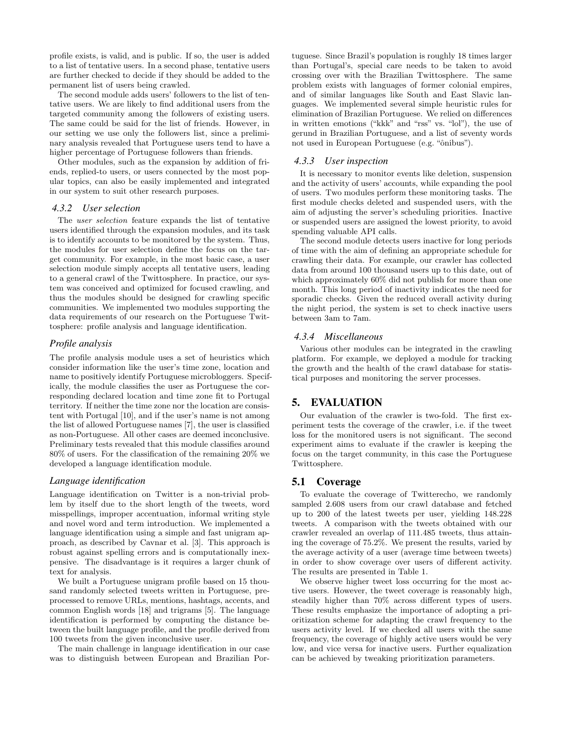profile exists, is valid, and is public. If so, the user is added to a list of tentative users. In a second phase, tentative users are further checked to decide if they should be added to the permanent list of users being crawled.

The second module adds users' followers to the list of tentative users. We are likely to find additional users from the targeted community among the followers of existing users. The same could be said for the list of friends. However, in our setting we use only the followers list, since a preliminary analysis revealed that Portuguese users tend to have a higher percentage of Portuguese followers than friends.

Other modules, such as the expansion by addition of friends, replied-to users, or users connected by the most popular topics, can also be easily implemented and integrated in our system to suit other research purposes.

#### *4.3.2 User selection*

The user selection feature expands the list of tentative users identified through the expansion modules, and its task is to identify accounts to be monitored by the system. Thus, the modules for user selection define the focus on the target community. For example, in the most basic case, a user selection module simply accepts all tentative users, leading to a general crawl of the Twittosphere. In practice, our system was conceived and optimized for focused crawling, and thus the modules should be designed for crawling specific communities. We implemented two modules supporting the data requirements of our research on the Portuguese Twittosphere: profile analysis and language identification.

#### *Profile analysis*

The profile analysis module uses a set of heuristics which consider information like the user's time zone, location and name to positively identify Portuguese microbloggers. Specifically, the module classifies the user as Portuguese the corresponding declared location and time zone fit to Portugal territory. If neither the time zone nor the location are consistent with Portugal [10], and if the user's name is not among the list of allowed Portuguese names [7], the user is classified as non-Portuguese. All other cases are deemed inconclusive. Preliminary tests revealed that this module classifies around 80% of users. For the classification of the remaining 20% we developed a language identification module.

#### *Language identification*

Language identification on Twitter is a non-trivial problem by itself due to the short length of the tweets, word misspellings, improper accentuation, informal writing style and novel word and term introduction. We implemented a language identification using a simple and fast unigram approach, as described by Cavnar et al. [3]. This approach is robust against spelling errors and is computationally inexpensive. The disadvantage is it requires a larger chunk of text for analysis.

We built a Portuguese unigram profile based on 15 thousand randomly selected tweets written in Portuguese, preprocessed to remove URLs, mentions, hashtags, accents, and common English words [18] and trigrams [5]. The language identification is performed by computing the distance between the built language profile, and the profile derived from 100 tweets from the given inconclusive user.

The main challenge in language identification in our case was to distinguish between European and Brazilian Portuguese. Since Brazil's population is roughly 18 times larger than Portugal's, special care needs to be taken to avoid crossing over with the Brazilian Twittosphere. The same problem exists with languages of former colonial empires, and of similar languages like South and East Slavic languages. We implemented several simple heuristic rules for elimination of Brazilian Portuguese. We relied on differences in written emotions ("kkk" and "rss" vs. "lol"), the use of gerund in Brazilian Portuguese, and a list of seventy words not used in European Portuguese (e.g. "ônibus").

#### *4.3.3 User inspection*

It is necessary to monitor events like deletion, suspension and the activity of users' accounts, while expanding the pool of users. Two modules perform these monitoring tasks. The first module checks deleted and suspended users, with the aim of adjusting the server's scheduling priorities. Inactive or suspended users are assigned the lowest priority, to avoid spending valuable API calls.

The second module detects users inactive for long periods of time with the aim of defining an appropriate schedule for crawling their data. For example, our crawler has collected data from around 100 thousand users up to this date, out of which approximately 60% did not publish for more than one month. This long period of inactivity indicates the need for sporadic checks. Given the reduced overall activity during the night period, the system is set to check inactive users between 3am to 7am.

#### *4.3.4 Miscellaneous*

Various other modules can be integrated in the crawling platform. For example, we deployed a module for tracking the growth and the health of the crawl database for statistical purposes and monitoring the server processes.

# 5. EVALUATION

Our evaluation of the crawler is two-fold. The first experiment tests the coverage of the crawler, i.e. if the tweet loss for the monitored users is not significant. The second experiment aims to evaluate if the crawler is keeping the focus on the target community, in this case the Portuguese Twittosphere.

## 5.1 Coverage

To evaluate the coverage of Twitterecho, we randomly sampled 2.608 users from our crawl database and fetched up to 200 of the latest tweets per user, yielding 148.228 tweets. A comparison with the tweets obtained with our crawler revealed an overlap of 111.485 tweets, thus attaining the coverage of 75.2%. We present the results, varied by the average activity of a user (average time between tweets) in order to show coverage over users of different activity. The results are presented in Table 1.

We observe higher tweet loss occurring for the most active users. However, the tweet coverage is reasonably high, steadily higher than 70% across different types of users. These results emphasize the importance of adopting a prioritization scheme for adapting the crawl frequency to the users activity level. If we checked all users with the same frequency, the coverage of highly active users would be very low, and vice versa for inactive users. Further equalization can be achieved by tweaking prioritization parameters.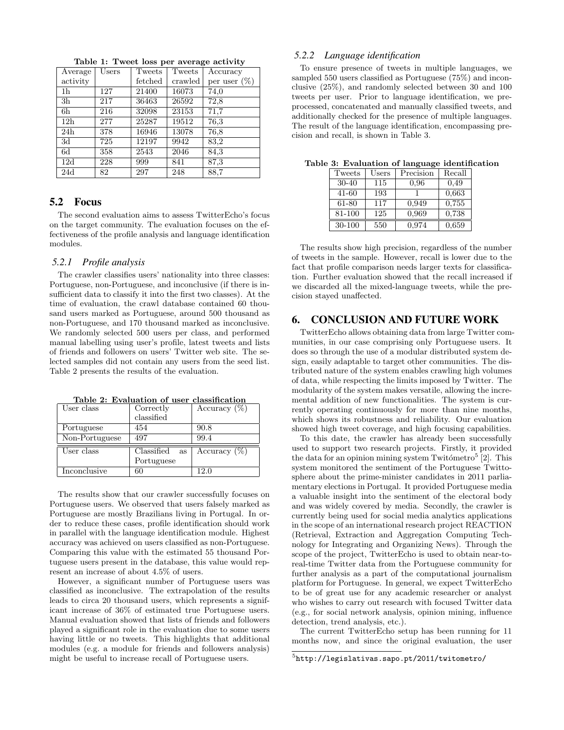| Average         | Users | Tweets  | Tweets  | Accuracy        |  |
|-----------------|-------|---------|---------|-----------------|--|
| activity        |       | fetched | crawled | per user $(\%)$ |  |
| 1h              | 127   | 21400   | 16073   | 74,0            |  |
| 3 <sub>h</sub>  | 217   | 36463   | 26592   | 72,8            |  |
| 6h              | 216   | 32098   | 23153   | 71.7            |  |
| 12 <sub>h</sub> | 277   | 25287   | 19512   | 76.3            |  |
| 24h             | 378   | 16946   | 13078   | 76.8            |  |
| 3d              | 725   | 12197   | 9942    | 83,2            |  |
| 6d              | 358   | 2543    | 2046    | 84.3            |  |
| 12d             | 228   | 999     | 841     | 87,3            |  |
| 24d             | 82    | 297     | 248     | 88,7            |  |

Table 1: Tweet loss per average activity

# 5.2 Focus

The second evaluation aims to assess TwitterEcho's focus on the target community. The evaluation focuses on the effectiveness of the profile analysis and language identification modules.

#### *5.2.1 Profile analysis*

The crawler classifies users' nationality into three classes: Portuguese, non-Portuguese, and inconclusive (if there is insufficient data to classify it into the first two classes). At the time of evaluation, the crawl database contained 60 thousand users marked as Portuguese, around 500 thousand as non-Portuguese, and 170 thousand marked as inconclusive. We randomly selected 500 users per class, and performed manual labelling using user's profile, latest tweets and lists of friends and followers on users' Twitter web site. The selected samples did not contain any users from the seed list. Table 2 presents the results of the evaluation.

Table 2: Evaluation of user classification<br>
User class Correctly Accuracy (%) | Correctly classified Accuracy (%) Portuguese | 454 | 90.8

|                | classified                     |                 |
|----------------|--------------------------------|-----------------|
| Portuguese     | 454                            | 90.8            |
| Non-Portuguese | 497                            | 99.4            |
| User class     | Classified<br>as<br>Portuguese | Accuracy $(\%)$ |
| Inconclusive   | 60                             | 12.0            |

The results show that our crawler successfully focuses on Portuguese users. We observed that users falsely marked as Portuguese are mostly Brazilians living in Portugal. In order to reduce these cases, profile identification should work in parallel with the language identification module. Highest accuracy was achieved on users classified as non-Portuguese. Comparing this value with the estimated 55 thousand Portuguese users present in the database, this value would represent an increase of about 4.5% of users.

However, a significant number of Portuguese users was classified as inconclusive. The extrapolation of the results leads to circa 20 thousand users, which represents a significant increase of 36% of estimated true Portuguese users. Manual evaluation showed that lists of friends and followers played a significant role in the evaluation due to some users having little or no tweets. This highlights that additional modules (e.g. a module for friends and followers analysis) might be useful to increase recall of Portuguese users.

#### *5.2.2 Language identification*

To ensure presence of tweets in multiple languages, we sampled 550 users classified as Portuguese (75%) and inconclusive (25%), and randomly selected between 30 and 100 tweets per user. Prior to language identification, we preprocessed, concatenated and manually classified tweets, and additionally checked for the presence of multiple languages. The result of the language identification, encompassing precision and recall, is shown in Table 3.

| Tweets     | Users | Precision | Recall |
|------------|-------|-----------|--------|
| $30 - 40$  | 115   | 0.96      | 0.49   |
| 41-60      | 193   |           | 0.663  |
| 61-80      | 117   | 0.949     | 0,755  |
| 81-100     | 125   | 0.969     | 0.738  |
| $30 - 100$ | 550   | 0.974     | 0.659  |

Table 3: Evaluation of language identification

The results show high precision, regardless of the number of tweets in the sample. However, recall is lower due to the fact that profile comparison needs larger texts for classification. Further evaluation showed that the recall increased if we discarded all the mixed-language tweets, while the precision stayed unaffected.

# 6. CONCLUSION AND FUTURE WORK

TwitterEcho allows obtaining data from large Twitter communities, in our case comprising only Portuguese users. It does so through the use of a modular distributed system design, easily adaptable to target other communities. The distributed nature of the system enables crawling high volumes of data, while respecting the limits imposed by Twitter. The modularity of the system makes versatile, allowing the incremental addition of new functionalities. The system is currently operating continuously for more than nine months, which shows its robustness and reliability. Our evaluation showed high tweet coverage, and high focusing capabilities.

To this date, the crawler has already been successfully used to support two research projects. Firstly, it provided the data for an opinion mining system Twitómetro<sup>5</sup> [2]. This system monitored the sentiment of the Portuguese Twittosphere about the prime-minister candidates in 2011 parliamentary elections in Portugal. It provided Portuguese media a valuable insight into the sentiment of the electoral body and was widely covered by media. Secondly, the crawler is currently being used for social media analytics applications in the scope of an international research project REACTION (Retrieval, Extraction and Aggregation Computing Technology for Integrating and Organizing News). Through the scope of the project, TwitterEcho is used to obtain near-toreal-time Twitter data from the Portuguese community for further analysis as a part of the computational journalism platform for Portuguese. In general, we expect TwitterEcho to be of great use for any academic researcher or analyst who wishes to carry out research with focused Twitter data (e.g., for social network analysis, opinion mining, influence detection, trend analysis, etc.).

The current TwitterEcho setup has been running for 11 months now, and since the original evaluation, the user

 $5$ http://legislativas.sapo.pt/2011/twitometro/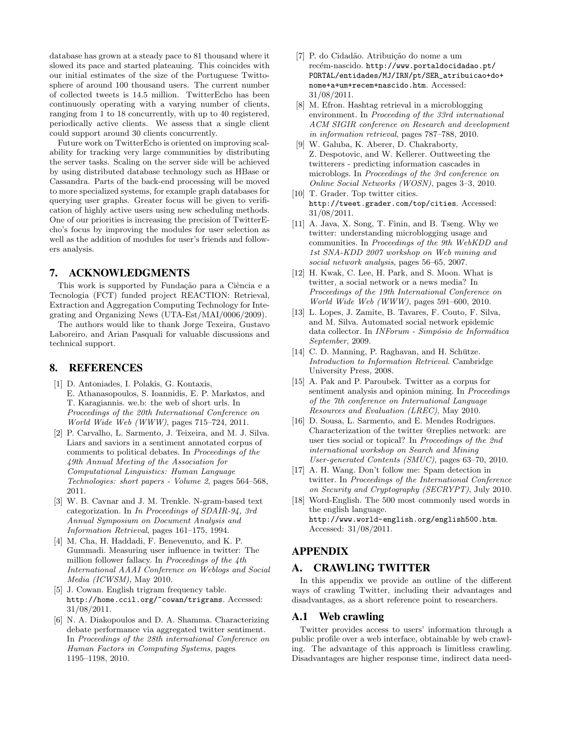database has grown at a steady pace to 81 thousand where it slowed its pace and started plateauing. This coincides with our initial estimates of the size of the Portuguese Twittosphere of around 100 thousand users. The current number of collected tweets is 14.5 million. TwitterEcho has been continuously operating with a varying number of clients, ranging from 1 to 18 concurrently, with up to 40 registered, periodically active clients. We assess that a single client could support around 30 clients concurrently.

Future work on TwitterEcho is oriented on improving scalability for tracking very large communities by distributing the server tasks. Scaling on the server side will be achieved by using distributed database technology such as HBase or Cassandra. Parts of the back-end processing will be moved to more specialized systems, for example graph databases for querying user graphs. Greater focus will be given to verification of highly active users using new scheduling methods. One of our priorities is increasing the precision of TwitterEcho's focus by improving the modules for user selection as well as the addition of modules for user's friends and followers analysis.

# 7. ACKNOWLEDGMENTS

This work is supported by Fundação para a Ciência e a Tecnologia (FCT) funded project REACTION: Retrieval, Extraction and Aggregation Computing Technology for Integrating and Organizing News (UTA-Est/MAI/0006/2009).

The authors would like to thank Jorge Texeira, Gustavo Laboreiro, and Arian Pasquali for valuable discussions and technical support.

## 8. REFERENCES

- [1] D. Antoniades, I. Polakis, G. Kontaxis, E. Athanasopoulos, S. Ioannidis, E. P. Markatos, and T. Karagiannis. we.b: the web of short urls. In Proceedings of the 20th International Conference on World Wide Web (WWW), pages 715–724, 2011.
- [2] P. Carvalho, L. Sarmento, J. Teixeira, and M. J. Silva. Liars and saviors in a sentiment annotated corpus of comments to political debates. In Proceedings of the 49th Annual Meeting of the Association for Computational Linguistics: Human Language Technologies: short papers - Volume 2, pages 564–568, 2011.
- [3] W. B. Cavnar and J. M. Trenkle. N-gram-based text categorization. In In Proceedings of SDAIR-94, 3rd Annual Symposium on Document Analysis and Information Retrieval, pages 161–175, 1994.
- [4] M. Cha, H. Haddadi, F. Benevenuto, and K. P. Gummadi. Measuring user influence in twitter: The million follower fallacy. In Proceedings of the  $4th$ International AAAI Conference on Weblogs and Social Media (ICWSM), May 2010.
- [5] J. Cowan. English trigram frequency table. http://home.ccil.org/~cowan/trigrams. Accessed: 31/08/2011.
- [6] N. A. Diakopoulos and D. A. Shamma. Characterizing debate performance via aggregated twitter sentiment. In Proceedings of the 28th international Conference on Human Factors in Computing Systems, pages 1195–1198, 2010.
- [7] P. do Cidadão. Atribuição do nome a um recém-nascido. http://www.portaldocidadao.pt/ PORTAL/entidades/MJ/IRN/pt/SER\_atribuicao+do+ nome+a+um+recem+nascido.htm. Accessed: 31/08/2011.
- [8] M. Efron. Hashtag retrieval in a microblogging environment. In Proceeding of the 33rd international ACM SIGIR conference on Research and development in information retrieval, pages 787–788, 2010.
- [9] W. Galuba, K. Aberer, D. Chakraborty, Z. Despotovic, and W. Kellerer. Outtweeting the twitterers - predicting information cascades in microblogs. In Proceedings of the 3rd conference on Online Social Networks (WOSN), pages 3–3, 2010.
- [10] T. Grader. Top twitter cities. http://tweet.grader.com/top/cities. Accessed: 31/08/2011.
- [11] A. Java, X. Song, T. Finin, and B. Tseng. Why we twitter: understanding microblogging usage and communities. In Proceedings of the 9th WebKDD and 1st SNA-KDD 2007 workshop on Web mining and social network analysis, pages 56–65, 2007.
- [12] H. Kwak, C. Lee, H. Park, and S. Moon. What is twitter, a social network or a news media? In Proceedings of the 19th International Conference on World Wide Web (WWW), pages 591–600, 2010.
- [13] L. Lopes, J. Zamite, B. Tavares, F. Couto, F. Silva, and M. Silva. Automated social network epidemic data collector. In INForum - Simpósio de Informática September, 2009.
- $[14]$  C. D. Manning, P. Raghavan, and H. Schütze. Introduction to Information Retrieval. Cambridge University Press, 2008.
- [15] A. Pak and P. Paroubek. Twitter as a corpus for sentiment analysis and opinion mining. In Proceedings of the 7th conference on International Language Resources and Evaluation (LREC), May 2010.
- [16] D. Sousa, L. Sarmento, and E. Mendes Rodrigues. Characterization of the twitter @replies network: are user ties social or topical? In Proceedings of the 2nd international workshop on Search and Mining User-generated Contents (SMUC), pages 63–70, 2010.
- [17] A. H. Wang. Don't follow me: Spam detection in twitter. In Proceedings of the International Conference on Security and Cryptography (SECRYPT), July 2010.
- [18] Word-English. The 500 most commonly used words in the english language. http://www.world-english.org/english500.htm. Accessed: 31/08/2011.

## APPENDIX

# A. CRAWLING TWITTER

In this appendix we provide an outline of the different ways of crawling Twitter, including their advantages and disadvantages, as a short reference point to researchers.

#### A.1 Web crawling

Twitter provides access to users' information through a public profile over a web interface, obtainable by web crawling. The advantage of this approach is limitless crawling. Disadvantages are higher response time, indirect data need